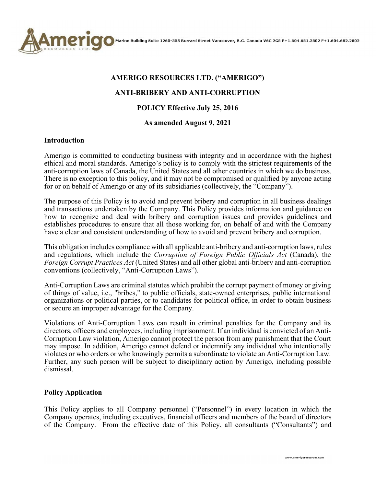

#### **AMERIGO RESOURCES LTD. ("AMERIGO")**

## **ANTI-BRIBERY AND ANTI-CORRUPTION**

## **POLICY Effective July 25, 2016**

#### **As amended August 9, 2021**

#### **Introduction**

Amerigo is committed to conducting business with integrity and in accordance with the highest ethical and moral standards. Amerigo's policy is to comply with the strictest requirements of the anti-corruption laws of Canada, the United States and all other countries in which we do business. There is no exception to this policy, and it may not be compromised or qualified by anyone acting for or on behalf of Amerigo or any of its subsidiaries (collectively, the "Company").

The purpose of this Policy is to avoid and prevent bribery and corruption in all business dealings and transactions undertaken by the Company. This Policy provides information and guidance on how to recognize and deal with bribery and corruption issues and provides guidelines and establishes procedures to ensure that all those working for, on behalf of and with the Company have a clear and consistent understanding of how to avoid and prevent bribery and corruption.

This obligation includes compliance with all applicable anti-bribery and anti-corruption laws, rules and regulations, which include the *Corruption of Foreign Public Officials Act* (Canada), the *Foreign Corrupt Practices Act* (United States) and all other global anti-bribery and anti-corruption conventions (collectively, "Anti-Corruption Laws").

Anti-Corruption Laws are criminal statutes which prohibit the corrupt payment of money or giving of things of value, i.e., "bribes," to public officials, state-owned enterprises, public international organizations or political parties, or to candidates for political office, in order to obtain business or secure an improper advantage for the Company.

Violations of Anti-Corruption Laws can result in criminal penalties for the Company and its directors, officers and employees, including imprisonment. If an individual is convicted of an Anti-Corruption Law violation, Amerigo cannot protect the person from any punishment that the Court may impose. In addition, Amerigo cannot defend or indemnify any individual who intentionally violates or who orders or who knowingly permits a subordinate to violate an Anti-Corruption Law. Further, any such person will be subject to disciplinary action by Amerigo, including possible dismissal.

#### **Policy Application**

This Policy applies to all Company personnel ("Personnel") in every location in which the Company operates, including executives, financial officers and members of the board of directors of the Company. From the effective date of this Policy, all consultants ("Consultants") and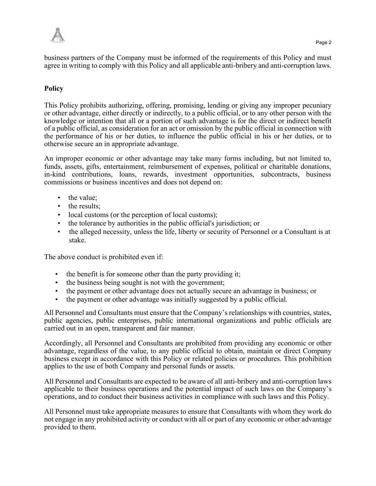business partners of the Company must be informed of the requirements of this Policy and must agree in writing to comply with this Policy and all applicable anti-bribery and anti-corruption laws.

# **Policy**

This Policy prohibits authorizing, offering, promising, lending or giving any improper pecuniary or other advantage, either directly or indirectly, to a public official, or to any other person with the knowledge or intention that all or a portion of such advantage is for the direct or indirect benefit of a public official, as consideration for an act or omission by the public official in connection with the performance of his or her duties, to influence the public official in his or her duties, or to otherwise secure an in appropriate advantage.

An improper economic or other advantage may take many forms including, but not limited to, funds, assets, gifts, entertainment, reimbursement of expenses, political or charitable donations, in-kind contributions, loans, rewards, investment opportunities, subcontracts, business commissions or business incentives and does not depend on:

- the value:
- the results;
- local customs (or the perception of local customs);
- the tolerance by authorities in the public official's jurisdiction; or
- the alleged necessity, unless the life, liberty or security of Personnel or a Consultant is at stake.

The above conduct is prohibited even if:

- the benefit is for someone other than the party providing it;
- the business being sought is not with the government;
- the payment or other advantage does not actually secure an advantage in business; or
- the payment or other advantage was initially suggested by a public official.

All Personnel and Consultants must ensure that the Company's relationships with countries, states, public agencies, public enterprises, public international organizations and public officials are carried out in an open, transparent and fair manner.

Accordingly, all Personnel and Consultants are prohibited from providing any economic or other advantage, regardless of the value, to any public official to obtain, maintain or direct Company business except in accordance with this Policy or related policies or procedures. This prohibition applies to the use of both Company and personal funds or assets.

All Personnel and Consultants are expected to be aware of all anti-bribery and anti-corruption laws applicable to their business operations and the potential impact of such laws on the Company's operations, and to conduct their business activities in compliance with such laws and this Policy.

All Personnel must take appropriate measures to ensure that Consultants with whom they work do not engage in any prohibited activity or conduct with all or part of any economic or other advantage provided to them.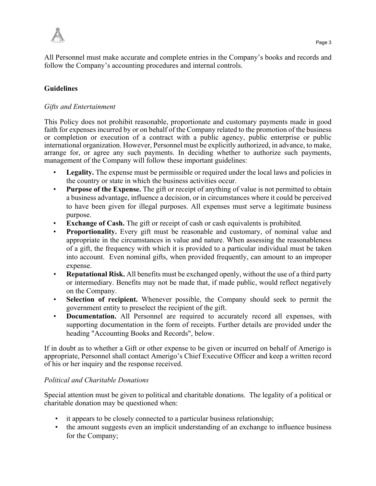

All Personnel must make accurate and complete entries in the Company's books and records and follow the Company's accounting procedures and internal controls.

# **Guidelines**

## *Gifts and Entertainment*

This Policy does not prohibit reasonable, proportionate and customary payments made in good faith for expenses incurred by or on behalf of the Company related to the promotion of the business or completion or execution of a contract with a public agency, public enterprise or public international organization. However, Personnel must be explicitly authorized, in advance, to make, arrange for, or agree any such payments. In deciding whether to authorize such payments, management of the Company will follow these important guidelines:

- **Legality.** The expense must be permissible or required under the local laws and policies in the country or state in which the business activities occur.
- **Purpose of the Expense.** The gift or receipt of anything of value is not permitted to obtain a business advantage, influence a decision, or in circumstances where it could be perceived to have been given for illegal purposes. All expenses must serve a legitimate business purpose.
- **Exchange of Cash.** The gift or receipt of cash or cash equivalents is prohibited.
- **Proportionality.** Every gift must be reasonable and customary, of nominal value and appropriate in the circumstances in value and nature. When assessing the reasonableness of a gift, the frequency with which it is provided to a particular individual must be taken into account. Even nominal gifts, when provided frequently, can amount to an improper expense.
- **Reputational Risk.** All benefits must be exchanged openly, without the use of a third party or intermediary. Benefits may not be made that, if made public, would reflect negatively on the Company.
- **Selection of recipient.** Whenever possible, the Company should seek to permit the government entity to preselect the recipient of the gift.
- **Documentation.** All Personnel are required to accurately record all expenses, with supporting documentation in the form of receipts. Further details are provided under the heading "Accounting Books and Records", below.

If in doubt as to whether a Gift or other expense to be given or incurred on behalf of Amerigo is appropriate, Personnel shall contact Amerigo's Chief Executive Officer and keep a written record of his or her inquiry and the response received.

## *Political and Charitable Donations*

Special attention must be given to political and charitable donations. The legality of a political or charitable donation may be questioned when:

- it appears to be closely connected to a particular business relationship;
- the amount suggests even an implicit understanding of an exchange to influence business for the Company;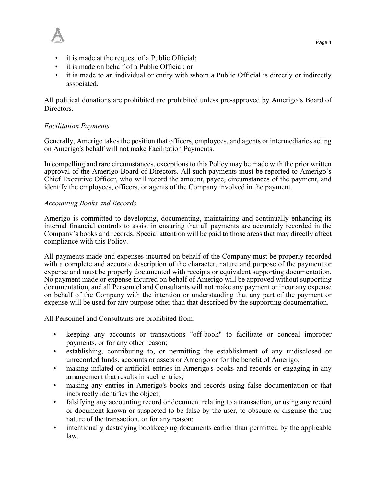

- it is made at the request of a Public Official;
- it is made on behalf of a Public Official; or
- it is made to an individual or entity with whom a Public Official is directly or indirectly associated.

All political donations are prohibited are prohibited unless pre-approved by Amerigo's Board of Directors.

## *Facilitation Payments*

Generally, Amerigo takes the position that officers, employees, and agents or intermediaries acting on Amerigo's behalf will not make Facilitation Payments.

In compelling and rare circumstances, exceptions to this Policy may be made with the prior written approval of the Amerigo Board of Directors. All such payments must be reported to Amerigo's Chief Executive Officer, who will record the amount, payee, circumstances of the payment, and identify the employees, officers, or agents of the Company involved in the payment.

## *Accounting Books and Records*

Amerigo is committed to developing, documenting, maintaining and continually enhancing its internal financial controls to assist in ensuring that all payments are accurately recorded in the Company's books and records. Special attention will be paid to those areas that may directly affect compliance with this Policy.

All payments made and expenses incurred on behalf of the Company must be properly recorded with a complete and accurate description of the character, nature and purpose of the payment or expense and must be properly documented with receipts or equivalent supporting documentation. No payment made or expense incurred on behalf of Amerigo will be approved without supporting documentation, and all Personnel and Consultants will not make any payment or incur any expense on behalf of the Company with the intention or understanding that any part of the payment or expense will be used for any purpose other than that described by the supporting documentation.

All Personnel and Consultants are prohibited from:

- keeping any accounts or transactions "off-book" to facilitate or conceal improper payments, or for any other reason;
- establishing, contributing to, or permitting the establishment of any undisclosed or unrecorded funds, accounts or assets or Amerigo or for the benefit of Amerigo;
- making inflated or artificial entries in Amerigo's books and records or engaging in any arrangement that results in such entries;
- making any entries in Amerigo's books and records using false documentation or that incorrectly identifies the object;
- falsifying any accounting record or document relating to a transaction, or using any record or document known or suspected to be false by the user, to obscure or disguise the true nature of the transaction, or for any reason;
- intentionally destroying bookkeeping documents earlier than permitted by the applicable law.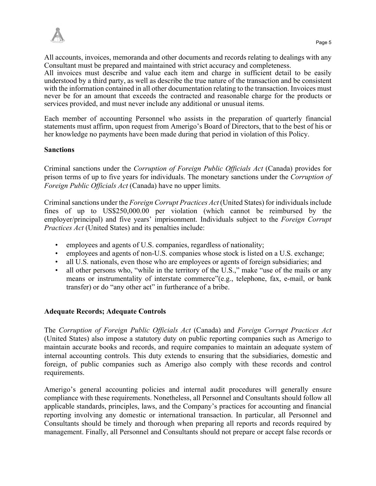All accounts, invoices, memoranda and other documents and records relating to dealings with any Consultant must be prepared and maintained with strict accuracy and completeness.

All invoices must describe and value each item and charge in sufficient detail to be easily understood by a third party, as well as describe the true nature of the transaction and be consistent with the information contained in all other documentation relating to the transaction. Invoices must never be for an amount that exceeds the contracted and reasonable charge for the products or services provided, and must never include any additional or unusual items.

Each member of accounting Personnel who assists in the preparation of quarterly financial statements must affirm, upon request from Amerigo's Board of Directors, that to the best of his or her knowledge no payments have been made during that period in violation of this Policy.

# **Sanctions**

Criminal sanctions under the *Corruption of Foreign Public Officials Act* (Canada) provides for prison terms of up to five years for individuals. The monetary sanctions under the *Corruption of Foreign Public Officials Act* (Canada) have no upper limits.

Criminal sanctions under the *Foreign Corrupt Practices Act* (United States) for individuals include fines of up to US\$250,000.00 per violation (which cannot be reimbursed by the employer/principal) and five years' imprisonment. Individuals subject to the *Foreign Corrupt Practices Act* (United States) and its penalties include:

- employees and agents of U.S. companies, regardless of nationality;
- employees and agents of non-U.S. companies whose stock is listed on a U.S. exchange;
- all U.S. nationals, even those who are employees or agents of foreign subsidiaries; and
- all other persons who, "while in the territory of the U.S.," make "use of the mails or any means or instrumentality of interstate commerce"(e.g., telephone, fax, e-mail, or bank transfer) or do "any other act" in furtherance of a bribe.

# **Adequate Records; Adequate Controls**

The *Corruption of Foreign Public Officials Act* (Canada) and *Foreign Corrupt Practices Act*  (United States) also impose a statutory duty on public reporting companies such as Amerigo to maintain accurate books and records, and require companies to maintain an adequate system of internal accounting controls. This duty extends to ensuring that the subsidiaries, domestic and foreign, of public companies such as Amerigo also comply with these records and control requirements.

Amerigo's general accounting policies and internal audit procedures will generally ensure compliance with these requirements. Nonetheless, all Personnel and Consultants should follow all applicable standards, principles, laws, and the Company's practices for accounting and financial reporting involving any domestic or international transaction. In particular, all Personnel and Consultants should be timely and thorough when preparing all reports and records required by management. Finally, all Personnel and Consultants should not prepare or accept false records or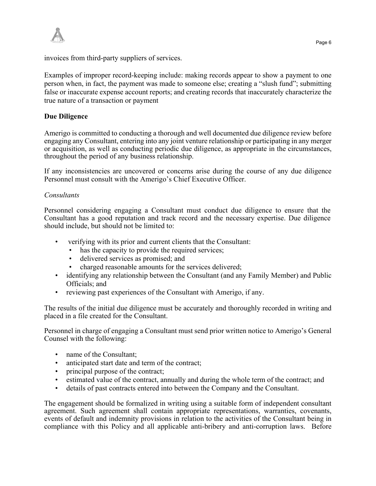

invoices from third-party suppliers of services.

Examples of improper record-keeping include: making records appear to show a payment to one person when, in fact, the payment was made to someone else; creating a "slush fund"; submitting false or inaccurate expense account reports; and creating records that inaccurately characterize the true nature of a transaction or payment

## **Due Diligence**

Amerigo is committed to conducting a thorough and well documented due diligence review before engaging any Consultant, entering into any joint venture relationship or participating in any merger or acquisition, as well as conducting periodic due diligence, as appropriate in the circumstances, throughout the period of any business relationship.

If any inconsistencies are uncovered or concerns arise during the course of any due diligence Personnel must consult with the Amerigo's Chief Executive Officer.

#### *Consultants*

Personnel considering engaging a Consultant must conduct due diligence to ensure that the Consultant has a good reputation and track record and the necessary expertise. Due diligence should include, but should not be limited to:

- verifying with its prior and current clients that the Consultant:
	- has the capacity to provide the required services;
	- delivered services as promised; and
	- charged reasonable amounts for the services delivered;
- identifying any relationship between the Consultant (and any Family Member) and Public Officials; and
- reviewing past experiences of the Consultant with Amerigo, if any.

The results of the initial due diligence must be accurately and thoroughly recorded in writing and placed in a file created for the Consultant.

Personnel in charge of engaging a Consultant must send prior written notice to Amerigo's General Counsel with the following:

- name of the Consultant;
- anticipated start date and term of the contract;
- principal purpose of the contract;
- estimated value of the contract, annually and during the whole term of the contract; and
- details of past contracts entered into between the Company and the Consultant.

The engagement should be formalized in writing using a suitable form of independent consultant agreement. Such agreement shall contain appropriate representations, warranties, covenants, events of default and indemnity provisions in relation to the activities of the Consultant being in compliance with this Policy and all applicable anti-bribery and anti-corruption laws. Before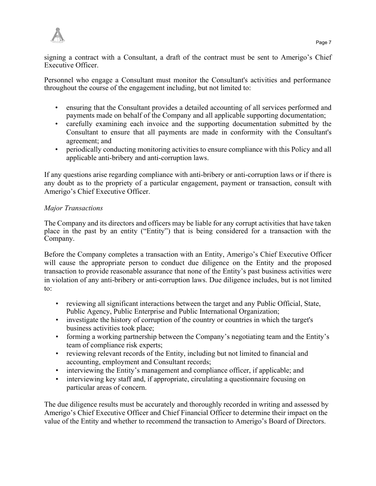

signing a contract with a Consultant, a draft of the contract must be sent to Amerigo's Chief Executive Officer.

Personnel who engage a Consultant must monitor the Consultant's activities and performance throughout the course of the engagement including, but not limited to:

- ensuring that the Consultant provides a detailed accounting of all services performed and payments made on behalf of the Company and all applicable supporting documentation;
- carefully examining each invoice and the supporting documentation submitted by the Consultant to ensure that all payments are made in conformity with the Consultant's agreement; and
- periodically conducting monitoring activities to ensure compliance with this Policy and all applicable anti-bribery and anti-corruption laws.

If any questions arise regarding compliance with anti-bribery or anti-corruption laws or if there is any doubt as to the propriety of a particular engagement, payment or transaction, consult with Amerigo's Chief Executive Officer.

# *Major Transactions*

The Company and its directors and officers may be liable for any corrupt activities that have taken place in the past by an entity ("Entity") that is being considered for a transaction with the Company.

Before the Company completes a transaction with an Entity, Amerigo's Chief Executive Officer will cause the appropriate person to conduct due diligence on the Entity and the proposed transaction to provide reasonable assurance that none of the Entity's past business activities were in violation of any anti-bribery or anti-corruption laws. Due diligence includes, but is not limited to:

- reviewing all significant interactions between the target and any Public Official, State, Public Agency, Public Enterprise and Public International Organization;
- investigate the history of corruption of the country or countries in which the target's business activities took place;
- forming a working partnership between the Company's negotiating team and the Entity's team of compliance risk experts;
- reviewing relevant records of the Entity, including but not limited to financial and accounting, employment and Consultant records;
- interviewing the Entity's management and compliance officer, if applicable; and
- interviewing key staff and, if appropriate, circulating a questionnaire focusing on particular areas of concern.

The due diligence results must be accurately and thoroughly recorded in writing and assessed by Amerigo's Chief Executive Officer and Chief Financial Officer to determine their impact on the value of the Entity and whether to recommend the transaction to Amerigo's Board of Directors.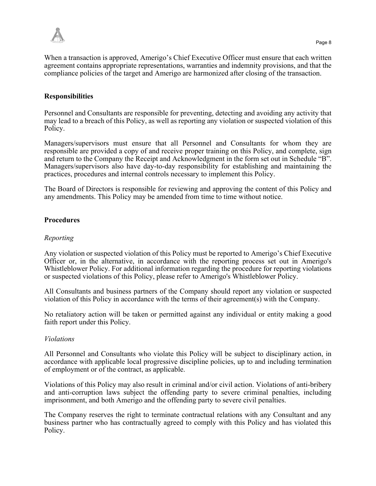

When a transaction is approved, Amerigo's Chief Executive Officer must ensure that each written agreement contains appropriate representations, warranties and indemnity provisions, and that the compliance policies of the target and Amerigo are harmonized after closing of the transaction.

# **Responsibilities**

Personnel and Consultants are responsible for preventing, detecting and avoiding any activity that may lead to a breach of this Policy, as well as reporting any violation or suspected violation of this Policy.

Managers/supervisors must ensure that all Personnel and Consultants for whom they are responsible are provided a copy of and receive proper training on this Policy, and complete, sign and return to the Company the Receipt and Acknowledgment in the form set out in Schedule "B". Managers/supervisors also have day-to-day responsibility for establishing and maintaining the practices, procedures and internal controls necessary to implement this Policy.

The Board of Directors is responsible for reviewing and approving the content of this Policy and any amendments. This Policy may be amended from time to time without notice.

## **Procedures**

#### *Reporting*

Any violation or suspected violation of this Policy must be reported to Amerigo's Chief Executive Officer or, in the alternative, in accordance with the reporting process set out in Amerigo's Whistleblower Policy. For additional information regarding the procedure for reporting violations or suspected violations of this Policy, please refer to Amerigo's Whistleblower Policy.

All Consultants and business partners of the Company should report any violation or suspected violation of this Policy in accordance with the terms of their agreement(s) with the Company.

No retaliatory action will be taken or permitted against any individual or entity making a good faith report under this Policy.

#### *Violations*

All Personnel and Consultants who violate this Policy will be subject to disciplinary action, in accordance with applicable local progressive discipline policies, up to and including termination of employment or of the contract, as applicable.

Violations of this Policy may also result in criminal and/or civil action. Violations of anti-bribery and anti-corruption laws subject the offending party to severe criminal penalties, including imprisonment, and both Amerigo and the offending party to severe civil penalties.

The Company reserves the right to terminate contractual relations with any Consultant and any business partner who has contractually agreed to comply with this Policy and has violated this Policy.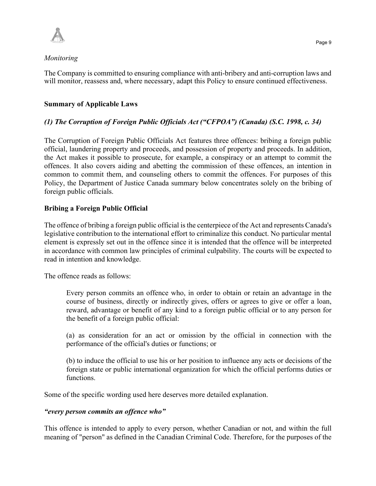

## *Monitoring*

The Company is committed to ensuring compliance with anti-bribery and anti-corruption laws and will monitor, reassess and, where necessary, adapt this Policy to ensure continued effectiveness.

# **Summary of Applicable Laws**

# *(1) The Corruption of Foreign Public Officials Act ("CFPOA") (Canada) (S.C. 1998, c. 34)*

The Corruption of Foreign Public Officials Act features three offences: bribing a foreign public official, laundering property and proceeds, and possession of property and proceeds. In addition, the Act makes it possible to prosecute, for example, a conspiracy or an attempt to commit the offences. It also covers aiding and abetting the commission of these offences, an intention in common to commit them, and counseling others to commit the offences. For purposes of this Policy, the Department of Justice Canada summary below concentrates solely on the bribing of foreign public officials.

# **Bribing a Foreign Public Official**

The offence of bribing a foreign public official is the centerpiece of the Act and represents Canada's legislative contribution to the international effort to criminalize this conduct. No particular mental element is expressly set out in the offence since it is intended that the offence will be interpreted in accordance with common law principles of criminal culpability. The courts will be expected to read in intention and knowledge.

The offence reads as follows:

Every person commits an offence who, in order to obtain or retain an advantage in the course of business, directly or indirectly gives, offers or agrees to give or offer a loan, reward, advantage or benefit of any kind to a foreign public official or to any person for the benefit of a foreign public official:

(a) as consideration for an act or omission by the official in connection with the performance of the official's duties or functions; or

(b) to induce the official to use his or her position to influence any acts or decisions of the foreign state or public international organization for which the official performs duties or functions.

Some of the specific wording used here deserves more detailed explanation.

## *"every person commits an offence who"*

This offence is intended to apply to every person, whether Canadian or not, and within the full meaning of "person" as defined in the Canadian Criminal Code. Therefore, for the purposes of the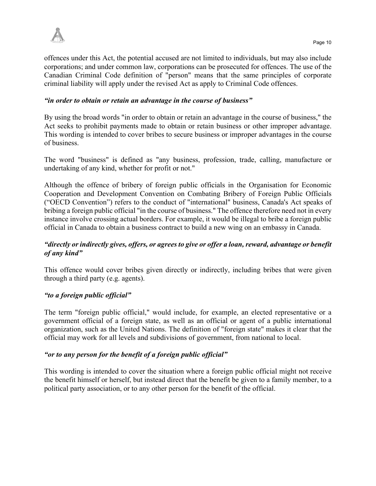

offences under this Act, the potential accused are not limited to individuals, but may also include corporations; and under common law, corporations can be prosecuted for offences. The use of the Canadian Criminal Code definition of "person" means that the same principles of corporate criminal liability will apply under the revised Act as apply to Criminal Code offences.

## *"in order to obtain or retain an advantage in the course of business"*

By using the broad words "in order to obtain or retain an advantage in the course of business," the Act seeks to prohibit payments made to obtain or retain business or other improper advantage. This wording is intended to cover bribes to secure business or improper advantages in the course of business.

The word "business" is defined as "any business, profession, trade, calling, manufacture or undertaking of any kind, whether for profit or not."

Although the offence of bribery of foreign public officials in the Organisation for Economic Cooperation and Development Convention on Combating Bribery of Foreign Public Officials ("OECD Convention") refers to the conduct of "international" business, Canada's Act speaks of bribing a foreign public official "in the course of business." The offence therefore need not in every instance involve crossing actual borders. For example, it would be illegal to bribe a foreign public official in Canada to obtain a business contract to build a new wing on an embassy in Canada.

# *"directly or indirectly gives, offers, or agrees to give or offer a loan, reward, advantage or benefit of any kind"*

This offence would cover bribes given directly or indirectly, including bribes that were given through a third party (e.g. agents).

## *"to a foreign public official"*

The term "foreign public official," would include, for example, an elected representative or a government official of a foreign state, as well as an official or agent of a public international organization, such as the United Nations. The definition of "foreign state" makes it clear that the official may work for all levels and subdivisions of government, from national to local.

## *"or to any person for the benefit of a foreign public official"*

This wording is intended to cover the situation where a foreign public official might not receive the benefit himself or herself, but instead direct that the benefit be given to a family member, to a political party association, or to any other person for the benefit of the official.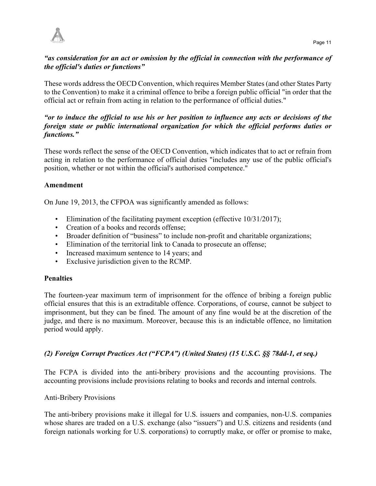

# *"as consideration for an act or omission by the official in connection with the performance of the official's duties or functions"*

These words address the OECD Convention, which requires Member States (and other States Party to the Convention) to make it a criminal offence to bribe a foreign public official "in order that the official act or refrain from acting in relation to the performance of official duties."

# *"or to induce the official to use his or her position to influence any acts or decisions of the foreign state or public international organization for which the official performs duties or functions."*

These words reflect the sense of the OECD Convention, which indicates that to act or refrain from acting in relation to the performance of official duties "includes any use of the public official's position, whether or not within the official's authorised competence."

# **Amendment**

On June 19, 2013, the CFPOA was significantly amended as follows:

- Elimination of the facilitating payment exception (effective 10/31/2017);
- Creation of a books and records offense;
- Broader definition of "business" to include non-profit and charitable organizations;
- Elimination of the territorial link to Canada to prosecute an offense;
- Increased maximum sentence to 14 years; and
- Exclusive jurisdiction given to the RCMP.

# **Penalties**

The fourteen-year maximum term of imprisonment for the offence of bribing a foreign public official ensures that this is an extraditable offence. Corporations, of course, cannot be subject to imprisonment, but they can be fined. The amount of any fine would be at the discretion of the judge, and there is no maximum. Moreover, because this is an indictable offence, no limitation period would apply.

# *(2) Foreign Corrupt Practices Act ("FCPA") (United States) (15 U.S.C. §§ 78dd-1, et seq.)*

The FCPA is divided into the anti-bribery provisions and the accounting provisions. The accounting provisions include provisions relating to books and records and internal controls.

# Anti-Bribery Provisions

The anti-bribery provisions make it illegal for U.S. issuers and companies, non-U.S. companies whose shares are traded on a U.S. exchange (also "issuers") and U.S. citizens and residents (and foreign nationals working for U.S. corporations) to corruptly make, or offer or promise to make,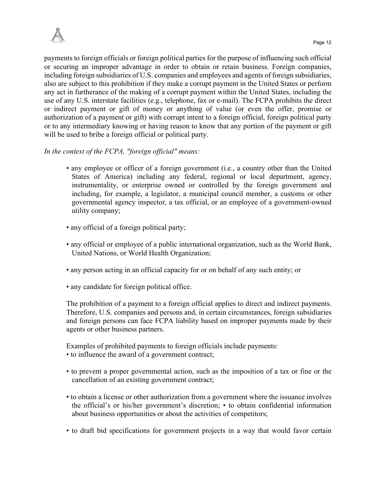payments to foreign officials or foreign political parties for the purpose of influencing such official or securing an improper advantage in order to obtain or retain business. Foreign companies, including foreign subsidiaries of U.S. companies and employees and agents of foreign subsidiaries, also are subject to this prohibition if they make a corrupt payment in the United States or perform any act in furtherance of the making of a corrupt payment within the United States, including the use of any U.S. interstate facilities (e.g., telephone, fax or e-mail). The FCPA prohibits the direct or indirect payment or gift of money or anything of value (or even the offer, promise or authorization of a payment or gift) with corrupt intent to a foreign official, foreign political party or to any intermediary knowing or having reason to know that any portion of the payment or gift will be used to bribe a foreign official or political party.

# *In the context of the FCPA, "foreign official" means:*

- any employee or officer of a foreign government (i.e., a country other than the United States of America) including any federal, regional or local department, agency, instrumentality, or enterprise owned or controlled by the foreign government and including, for example, a legislator, a municipal council member, a customs or other governmental agency inspector, a tax official, or an employee of a government-owned utility company;
- any official of a foreign political party;
- any official or employee of a public international organization, such as the World Bank, United Nations, or World Health Organization;
- any person acting in an official capacity for or on behalf of any such entity; or
- any candidate for foreign political office.

The prohibition of a payment to a foreign official applies to direct and indirect payments. Therefore, U.S. companies and persons and, in certain circumstances, foreign subsidiaries and foreign persons can face FCPA liability based on improper payments made by their agents or other business partners.

Examples of prohibited payments to foreign officials include payments:

- to influence the award of a government contract;
- to prevent a proper governmental action, such as the imposition of a tax or fine or the cancellation of an existing government contract;
- to obtain a license or other authorization from a government where the issuance involves the official's or his/her government's discretion; • to obtain confidential information about business opportunities or about the activities of competitors;
- to draft bid specifications for government projects in a way that would favor certain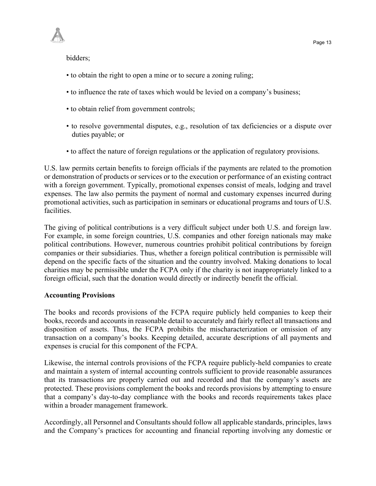bidders;

- to obtain the right to open a mine or to secure a zoning ruling;
- to influence the rate of taxes which would be levied on a company's business;
- to obtain relief from government controls;
- to resolve governmental disputes, e.g., resolution of tax deficiencies or a dispute over duties payable; or
- to affect the nature of foreign regulations or the application of regulatory provisions.

U.S. law permits certain benefits to foreign officials if the payments are related to the promotion or demonstration of products or services or to the execution or performance of an existing contract with a foreign government. Typically, promotional expenses consist of meals, lodging and travel expenses. The law also permits the payment of normal and customary expenses incurred during promotional activities, such as participation in seminars or educational programs and tours of U.S. facilities.

The giving of political contributions is a very difficult subject under both U.S. and foreign law. For example, in some foreign countries, U.S. companies and other foreign nationals may make political contributions. However, numerous countries prohibit political contributions by foreign companies or their subsidiaries. Thus, whether a foreign political contribution is permissible will depend on the specific facts of the situation and the country involved. Making donations to local charities may be permissible under the FCPA only if the charity is not inappropriately linked to a foreign official, such that the donation would directly or indirectly benefit the official.

## **Accounting Provisions**

The books and records provisions of the FCPA require publicly held companies to keep their books, records and accounts in reasonable detail to accurately and fairly reflect all transactions and disposition of assets. Thus, the FCPA prohibits the mischaracterization or omission of any transaction on a company's books. Keeping detailed, accurate descriptions of all payments and expenses is crucial for this component of the FCPA.

Likewise, the internal controls provisions of the FCPA require publicly-held companies to create and maintain a system of internal accounting controls sufficient to provide reasonable assurances that its transactions are properly carried out and recorded and that the company's assets are protected. These provisions complement the books and records provisions by attempting to ensure that a company's day-to-day compliance with the books and records requirements takes place within a broader management framework.

Accordingly, all Personnel and Consultants should follow all applicable standards, principles, laws and the Company's practices for accounting and financial reporting involving any domestic or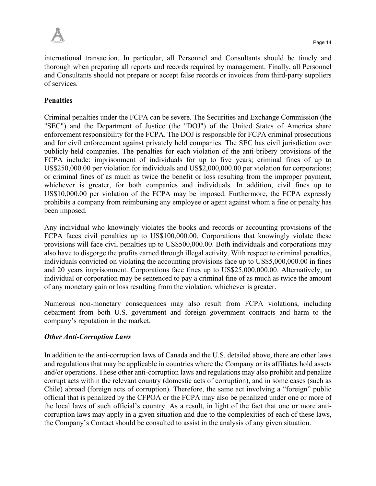

international transaction. In particular, all Personnel and Consultants should be timely and thorough when preparing all reports and records required by management. Finally, all Personnel and Consultants should not prepare or accept false records or invoices from third-party suppliers of services.

# **Penalties**

Criminal penalties under the FCPA can be severe. The Securities and Exchange Commission (the "SEC") and the Department of Justice (the "DOJ") of the United States of America share enforcement responsibility for the FCPA. The DOJ is responsible for FCPA criminal prosecutions and for civil enforcement against privately held companies. The SEC has civil jurisdiction over publicly-held companies. The penalties for each violation of the anti-bribery provisions of the FCPA include: imprisonment of individuals for up to five years; criminal fines of up to US\$250,000.00 per violation for individuals and US\$2,000,000.00 per violation for corporations; or criminal fines of as much as twice the benefit or loss resulting from the improper payment, whichever is greater, for both companies and individuals. In addition, civil fines up to US\$10,000.00 per violation of the FCPA may be imposed. Furthermore, the FCPA expressly prohibits a company from reimbursing any employee or agent against whom a fine or penalty has been imposed.

Any individual who knowingly violates the books and records or accounting provisions of the FCPA faces civil penalties up to US\$100,000.00. Corporations that knowingly violate these provisions will face civil penalties up to US\$500,000.00. Both individuals and corporations may also have to disgorge the profits earned through illegal activity. With respect to criminal penalties, individuals convicted on violating the accounting provisions face up to US\$5,000,000.00 in fines and 20 years imprisonment. Corporations face fines up to US\$25,000,000.00. Alternatively, an individual or corporation may be sentenced to pay a criminal fine of as much as twice the amount of any monetary gain or loss resulting from the violation, whichever is greater.

Numerous non-monetary consequences may also result from FCPA violations, including debarment from both U.S. government and foreign government contracts and harm to the company's reputation in the market.

# *Other Anti-Corruption Laws*

In addition to the anti-corruption laws of Canada and the U.S. detailed above, there are other laws and regulations that may be applicable in countries where the Company or its affiliates hold assets and/or operations. These other anti-corruption laws and regulations may also prohibit and penalize corrupt acts within the relevant country (domestic acts of corruption), and in some cases (such as Chile) abroad (foreign acts of corruption). Therefore, the same act involving a "foreign" public official that is penalized by the CFPOA or the FCPA may also be penalized under one or more of the local laws of such official's country. As a result, in light of the fact that one or more anticorruption laws may apply in a given situation and due to the complexities of each of these laws, the Company's Contact should be consulted to assist in the analysis of any given situation.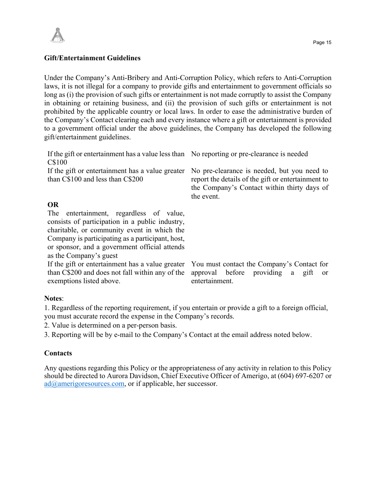

#### **Gift/Entertainment Guidelines**

Under the Company's Anti-Bribery and Anti-Corruption Policy, which refers to Anti-Corruption laws, it is not illegal for a company to provide gifts and entertainment to government officials so long as (i) the provision of such gifts or entertainment is not made corruptly to assist the Company in obtaining or retaining business, and (ii) the provision of such gifts or entertainment is not prohibited by the applicable country or local laws. In order to ease the administrative burden of the Company's Contact clearing each and every instance where a gift or entertainment is provided to a government official under the above guidelines, the Company has developed the following gift/entertainment guidelines.

| If the gift or entertainment has a value less than No reporting or pre-clearance is needed<br>C\$100                                                                                                                                                                     |                                                                                                                                                                |
|--------------------------------------------------------------------------------------------------------------------------------------------------------------------------------------------------------------------------------------------------------------------------|----------------------------------------------------------------------------------------------------------------------------------------------------------------|
| If the gift or entertainment has a value greater<br>than C\$100 and less than C\$200                                                                                                                                                                                     | No pre-clearance is needed, but you need to<br>report the details of the gift or entertainment to<br>the Company's Contact within thirty days of<br>the event. |
| <b>OR</b>                                                                                                                                                                                                                                                                |                                                                                                                                                                |
| The entertainment, regardless of value,<br>consists of participation in a public industry,<br>charitable, or community event in which the<br>Company is participating as a participant, host,<br>or sponsor, and a government official attends<br>as the Company's guest |                                                                                                                                                                |
| If the gift or entertainment has a value greater<br>than C\$200 and does not fall within any of the<br>exemptions listed above.                                                                                                                                          | You must contact the Company's Contact for<br>approval before providing a gift<br><b>or</b><br>entertainment.                                                  |

#### **Notes**:

1. Regardless of the reporting requirement, if you entertain or provide a gift to a foreign official, you must accurate record the expense in the Company's records.

2. Value is determined on a per-person basis.

3. Reporting will be by e-mail to the Company's Contact at the email address noted below.

#### **Contacts**

Any questions regarding this Policy or the appropriateness of any activity in relation to this Policy should be directed to Aurora Davidson, Chief Executive Officer of Amerigo, at (604) 697-6207 or ad@amerigoresources.com, or if applicable, her successor.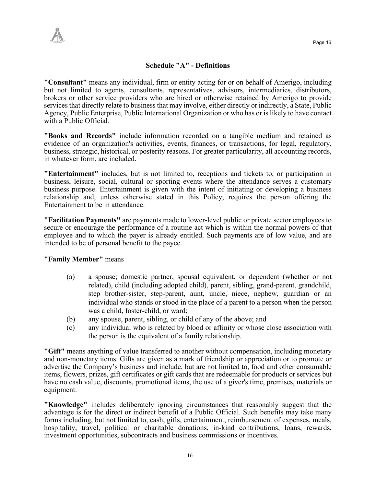# **Schedule "A" - Definitions**

**"Consultant"** means any individual, firm or entity acting for or on behalf of Amerigo, including but not limited to agents, consultants, representatives, advisors, intermediaries, distributors, brokers or other service providers who are hired or otherwise retained by Amerigo to provide services that directly relate to business that may involve, either directly or indirectly, a State, Public Agency, Public Enterprise, Public International Organization or who has or is likely to have contact with a Public Official.

**"Books and Records"** include information recorded on a tangible medium and retained as evidence of an organization's activities, events, finances, or transactions, for legal, regulatory, business, strategic, historical, or posterity reasons. For greater particularity, all accounting records, in whatever form, are included.

**"Entertainment"** includes, but is not limited to, receptions and tickets to, or participation in business, leisure, social, cultural or sporting events where the attendance serves a customary business purpose. Entertainment is given with the intent of initiating or developing a business relationship and, unless otherwise stated in this Policy, requires the person offering the Entertainment to be in attendance.

**"Facilitation Payments"** are payments made to lower-level public or private sector employees to secure or encourage the performance of a routine act which is within the normal powers of that employee and to which the payer is already entitled. Such payments are of low value, and are intended to be of personal benefit to the payee.

**"Family Member"** means

- (a) a spouse; domestic partner, spousal equivalent, or dependent (whether or not related), child (including adopted child), parent, sibling, grand-parent, grandchild, step brother-sister, step-parent, aunt, uncle, niece, nephew, guardian or an individual who stands or stood in the place of a parent to a person when the person was a child, foster-child, or ward;
- (b) any spouse, parent, sibling, or child of any of the above; and
- (c) any individual who is related by blood or affinity or whose close association with the person is the equivalent of a family relationship.

**"Gift"** means anything of value transferred to another without compensation, including monetary and non-monetary items. Gifts are given as a mark of friendship or appreciation or to promote or advertise the Company's business and include, but are not limited to, food and other consumable items, flowers, prizes, gift certificates or gift cards that are redeemable for products or services but have no cash value, discounts, promotional items, the use of a giver's time, premises, materials or equipment.

**"Knowledge"** includes deliberately ignoring circumstances that reasonably suggest that the advantage is for the direct or indirect benefit of a Public Official. Such benefits may take many forms including, but not limited to, cash, gifts, entertainment, reimbursement of expenses, meals, hospitality, travel, political or charitable donations, in-kind contributions, loans, rewards, investment opportunities, subcontracts and business commissions or incentives.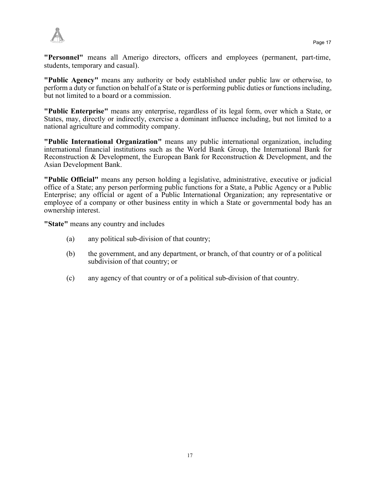

**"Personnel"** means all Amerigo directors, officers and employees (permanent, part-time, students, temporary and casual).

**"Public Agency"** means any authority or body established under public law or otherwise, to perform a duty or function on behalf of a State or is performing public duties or functions including, but not limited to a board or a commission.

**"Public Enterprise"** means any enterprise, regardless of its legal form, over which a State, or States, may, directly or indirectly, exercise a dominant influence including, but not limited to a national agriculture and commodity company.

**"Public International Organization"** means any public international organization, including international financial institutions such as the World Bank Group, the International Bank for Reconstruction & Development, the European Bank for Reconstruction & Development, and the Asian Development Bank.

**"Public Official"** means any person holding a legislative, administrative, executive or judicial office of a State; any person performing public functions for a State, a Public Agency or a Public Enterprise; any official or agent of a Public International Organization; any representative or employee of a company or other business entity in which a State or governmental body has an ownership interest.

**"State"** means any country and includes

- (a) any political sub-division of that country;
- (b) the government, and any department, or branch, of that country or of a political subdivision of that country; or
- (c) any agency of that country or of a political sub-division of that country.